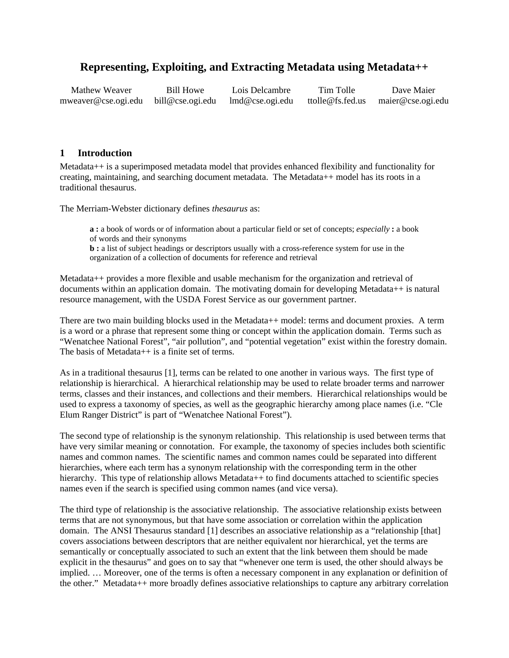# **Representing, Exploiting, and Extracting Metadata using Metadata++**

Mathew Weaver Bill Howe Lois Delcambre Tim Tolle Dave Maier mweaver@cse.ogi.edu bill@cse.ogi.edu lmd@cse.ogi.edu ttolle@fs.fed.us maier@cse.ogi.edu

### **1 Introduction**

Metadata++ is a superimposed metadata model that provides enhanced flexibility and functionality for creating, maintaining, and searching document metadata. The Metadata++ model has its roots in a traditional thesaurus.

The Merriam-Webster dictionary defines *thesaurus* as:

**a :** a book of words or of information about a particular field or set of concepts; *especially* **:** a book of words and their synonyms

**b** : a list of subject headings or descriptors usually with a cross-reference system for use in the organization of a collection of documents for reference and retrieval

Metadata++ provides a more flexible and usable mechanism for the organization and retrieval of documents within an application domain. The motivating domain for developing Metadata++ is natural resource management, with the USDA Forest Service as our government partner.

There are two main building blocks used in the Metadata++ model: terms and document proxies. A term is a word or a phrase that represent some thing or concept within the application domain. Terms such as "Wenatchee National Forest", "air pollution", and "potential vegetation" exist within the forestry domain. The basis of Metadata++ is a finite set of terms.

As in a traditional thesaurus [1], terms can be related to one another in various ways. The first type of relationship is hierarchical. A hierarchical relationship may be used to relate broader terms and narrower terms, classes and their instances, and collections and their members. Hierarchical relationships would be used to express a taxonomy of species, as well as the geographic hierarchy among place names (i.e. "Cle Elum Ranger District" is part of "Wenatchee National Forest").

The second type of relationship is the synonym relationship. This relationship is used between terms that have very similar meaning or connotation. For example, the taxonomy of species includes both scientific names and common names. The scientific names and common names could be separated into different hierarchies, where each term has a synonym relationship with the corresponding term in the other hierarchy. This type of relationship allows Metadata++ to find documents attached to scientific species names even if the search is specified using common names (and vice versa).

The third type of relationship is the associative relationship. The associative relationship exists between terms that are not synonymous, but that have some association or correlation within the application domain. The ANSI Thesaurus standard [1] describes an associative relationship as a "relationship [that] covers associations between descriptors that are neither equivalent nor hierarchical, yet the terms are semantically or conceptually associated to such an extent that the link between them should be made explicit in the thesaurus" and goes on to say that "whenever one term is used, the other should always be implied. … Moreover, one of the terms is often a necessary component in any explanation or definition of the other." Metadata++ more broadly defines associative relationships to capture any arbitrary correlation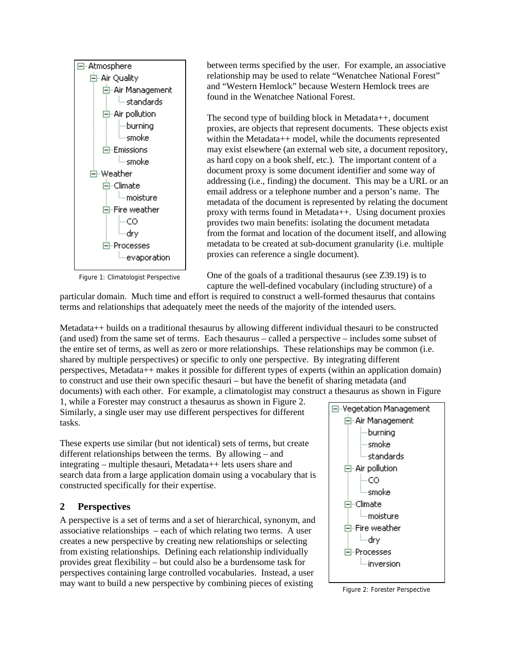

Figure 1: Climatologist Perspective

between terms specified by the user. For example, an associative relationship may be used to relate "Wenatchee National Forest" and "Western Hemlock" because Western Hemlock trees are found in the Wenatchee National Forest.

The second type of building block in Metadata++, document proxies, are objects that represent documents. These objects exist within the Metadata++ model, while the documents represented may exist elsewhere (an external web site, a document repository, as hard copy on a book shelf, etc.). The important content of a document proxy is some document identifier and some way of addressing (i.e., finding) the document. This may be a URL or an email address or a telephone number and a person's name. The metadata of the document is represented by relating the document proxy with terms found in Metadata++. Using document proxies provides two main benefits: isolating the document metadata from the format and location of the document itself, and allowing metadata to be created at sub-document granularity (i.e. multiple proxies can reference a single document).

One of the goals of a traditional thesaurus (see Z39.19) is to

capture the well-defined vocabulary (including structure) of a particular domain. Much time and effort is required to construct a well-formed thesaurus that contains terms and relationships that adequately meet the needs of the majority of the intended users.

Metadata++ builds on a traditional thesaurus by allowing different individual thesauri to be constructed (and used) from the same set of terms. Each thesaurus – called a perspective – includes some subset of the entire set of terms, as well as zero or more relationships. These relationships may be common (i.e. shared by multiple perspectives) or specific to only one perspective. By integrating different perspectives, Metadata++ makes it possible for different types of experts (within an application domain) to construct and use their own specific thesauri – but have the benefit of sharing metadata (and documents) with each other. For example, a climatologist may construct a thesaurus as shown in Figure

1, while a Forester may construct a thesaurus as shown in Figure 2. Similarly, a single user may use different perspectives for different tasks.

These experts use similar (but not identical) sets of terms, but create different relationships between the terms. By allowing – and integrating – multiple thesauri, Metadata++ lets users share and search data from a large application domain using a vocabulary that is constructed specifically for their expertise.

## **2 Perspectives**

A perspective is a set of terms and a set of hierarchical, synonym, and associative relationships – each of which relating two terms. A user creates a new perspective by creating new relationships or selecting from existing relationships. Defining each relationship individually provides great flexibility – but could also be a burdensome task for perspectives containing large controlled vocabularies. Instead, a user may want to build a new perspective by combining pieces of existing Figure 2: Forester Perspective

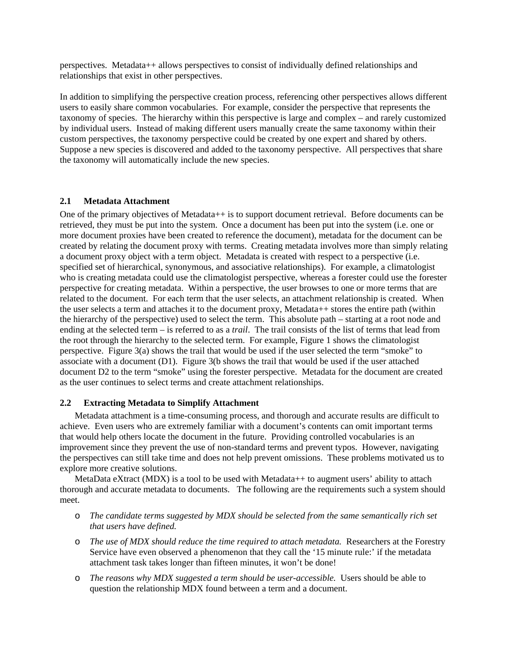perspectives. Metadata++ allows perspectives to consist of individually defined relationships and relationships that exist in other perspectives.

In addition to simplifying the perspective creation process, referencing other perspectives allows different users to easily share common vocabularies. For example, consider the perspective that represents the taxonomy of species. The hierarchy within this perspective is large and complex – and rarely customized by individual users. Instead of making different users manually create the same taxonomy within their custom perspectives, the taxonomy perspective could be created by one expert and shared by others. Suppose a new species is discovered and added to the taxonomy perspective. All perspectives that share the taxonomy will automatically include the new species.

#### **2.1 Metadata Attachment**

One of the primary objectives of Metadata++ is to support document retrieval. Before documents can be retrieved, they must be put into the system. Once a document has been put into the system (i.e. one or more document proxies have been created to reference the document), metadata for the document can be created by relating the document proxy with terms. Creating metadata involves more than simply relating a document proxy object with a term object. Metadata is created with respect to a perspective (i.e. specified set of hierarchical, synonymous, and associative relationships). For example, a climatologist who is creating metadata could use the climatologist perspective, whereas a forester could use the forester perspective for creating metadata. Within a perspective, the user browses to one or more terms that are related to the document. For each term that the user selects, an attachment relationship is created. When the user selects a term and attaches it to the document proxy, Metadata++ stores the entire path (within the hierarchy of the perspective) used to select the term. This absolute path – starting at a root node and ending at the selected term – is referred to as a *trail*. The trail consists of the list of terms that lead from the root through the hierarchy to the selected term. For example, Figure 1 shows the climatologist perspective. Figure 3(a) shows the trail that would be used if the user selected the term "smoke" to associate with a document (D1). Figure 3(b shows the trail that would be used if the user attached document D2 to the term "smoke" using the forester perspective. Metadata for the document are created as the user continues to select terms and create attachment relationships.

#### **2.2 Extracting Metadata to Simplify Attachment**

Metadata attachment is a time-consuming process, and thorough and accurate results are difficult to achieve. Even users who are extremely familiar with a document's contents can omit important terms that would help others locate the document in the future. Providing controlled vocabularies is an improvement since they prevent the use of non-standard terms and prevent typos. However, navigating the perspectives can still take time and does not help prevent omissions. These problems motivated us to explore more creative solutions.

MetaData eXtract ( $MDX$ ) is a tool to be used with Metadata $++$  to augment users' ability to attach thorough and accurate metadata to documents. The following are the requirements such a system should meet.

- o *The candidate terms suggested by MDX should be selected from the same semantically rich set that users have defined.*
- o *The use of MDX should reduce the time required to attach metadata.* Researchers at the Forestry Service have even observed a phenomenon that they call the '15 minute rule:' if the metadata attachment task takes longer than fifteen minutes, it won't be done!
- o *The reasons why MDX suggested a term should be user-accessible.* Users should be able to question the relationship MDX found between a term and a document.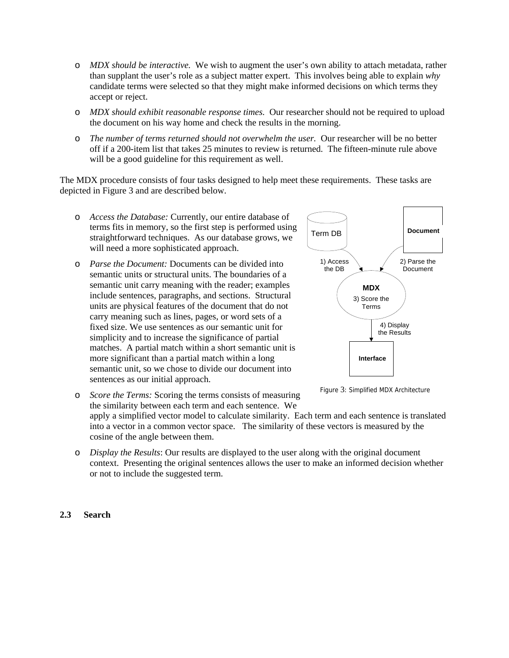- o *MDX should be interactive.* We wish to augment the user's own ability to attach metadata, rather than supplant the user's role as a subject matter expert. This involves being able to explain *why* candidate terms were selected so that they might make informed decisions on which terms they accept or reject.
- o *MDX should exhibit reasonable response times.* Our researcher should not be required to upload the document on his way home and check the results in the morning.
- o *The number of terms returned should not overwhelm the user.* Our researcher will be no better off if a 200-item list that takes 25 minutes to review is returned. The fifteen-minute rule above will be a good guideline for this requirement as well.

The MDX procedure consists of four tasks designed to help meet these requirements. These tasks are depicted in Figure 3 and are described below.

- o *Access the Database:* Currently, our entire database of terms fits in memory, so the first step is performed using straightforward techniques. As our database grows, we will need a more sophisticated approach.
- o *Parse the Document:* Documents can be divided into semantic units or structural units. The boundaries of a semantic unit carry meaning with the reader; examples include sentences, paragraphs, and sections. Structural units are physical features of the document that do not carry meaning such as lines, pages, or word sets of a fixed size. We use sentences as our semantic unit for simplicity and to increase the significance of partial matches. A partial match within a short semantic unit is more significant than a partial match within a long semantic unit, so we chose to divide our document into sentences as our initial approach.



Figure 3: Simplified MDX Architecture

o *Score the Terms:* Scoring the terms consists of measuring the similarity between each term and each sentence. We apply a simplified vector model to calculate similarity. Each term and each sentence is translated into a vector in a common vector space. The similarity of these vectors is measured by the cosine of the angle between them.

o *Display the Results*: Our results are displayed to the user along with the original document context. Presenting the original sentences allows the user to make an informed decision whether or not to include the suggested term.

#### **2.3 Search**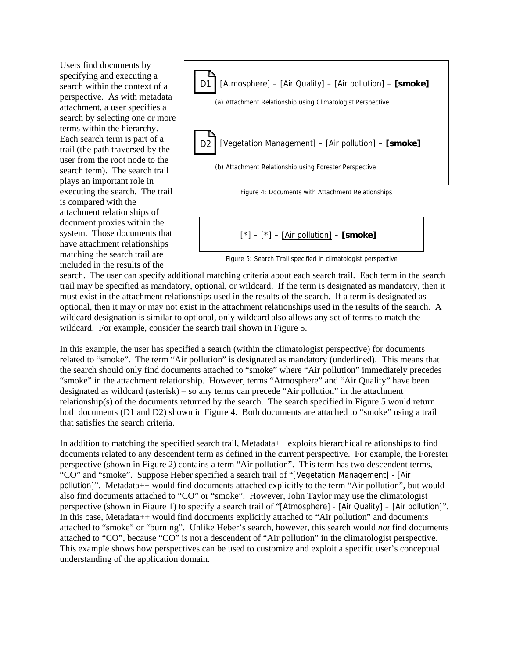Users find documents by specifying and executing a search within the context of a perspective. As with metadata attachment, a user specifies a search by selecting one or more terms within the hierarchy. Each search term is part of a trail (the path traversed by the user from the root node to the search term). The search trail plays an important role in executing the search. The trail is compared with the attachment relationships of document proxies within the system. Those documents that have attachment relationships matching the search trail are included in the results of the



$$
[^{*}]-[^{*}]-[\underline{\text{Air pollution}}]-[\text{smoke}]
$$

Figure 5: Search Trail specified in climatologist perspective

search. The user can specify additional matching criteria about each search trail. Each term in the search trail may be specified as mandatory, optional, or wildcard. If the term is designated as mandatory, then it must exist in the attachment relationships used in the results of the search. If a term is designated as optional, then it may or may not exist in the attachment relationships used in the results of the search. A wildcard designation is similar to optional, only wildcard also allows any set of terms to match the wildcard. For example, consider the search trail shown in Figure 5.

In this example, the user has specified a search (within the climatologist perspective) for documents related to "smoke". The term "Air pollution" is designated as mandatory (underlined). This means that the search should only find documents attached to "smoke" where "Air pollution" immediately precedes "smoke" in the attachment relationship. However, terms "Atmosphere" and "Air Quality" have been designated as wildcard (asterisk) – so any terms can precede "Air pollution" in the attachment relationship(s) of the documents returned by the search. The search specified in Figure 5 would return both documents (D1 and D2) shown in Figure 4. Both documents are attached to "smoke" using a trail that satisfies the search criteria.

In addition to matching the specified search trail, Metadata++ exploits hierarchical relationships to find documents related to any descendent term as defined in the current perspective. For example, the Forester perspective (shown in Figure 2) contains a term "Air pollution". This term has two descendent terms, "CO" and "smoke". Suppose Heber specified a search trail of "[Vegetation Management] - [Air pollution]". Metadata++ would find documents attached explicitly to the term "Air pollution", but would also find documents attached to "CO" or "smoke". However, John Taylor may use the climatologist perspective (shown in Figure 1) to specify a search trail of "[Atmosphere] - [Air Quality] – [Air pollution]". In this case, Metadata++ would find documents explicitly attached to "Air pollution" and documents attached to "smoke" or "burning". Unlike Heber's search, however, this search would *not* find documents attached to "CO", because "CO" is not a descendent of "Air pollution" in the climatologist perspective. This example shows how perspectives can be used to customize and exploit a specific user's conceptual understanding of the application domain.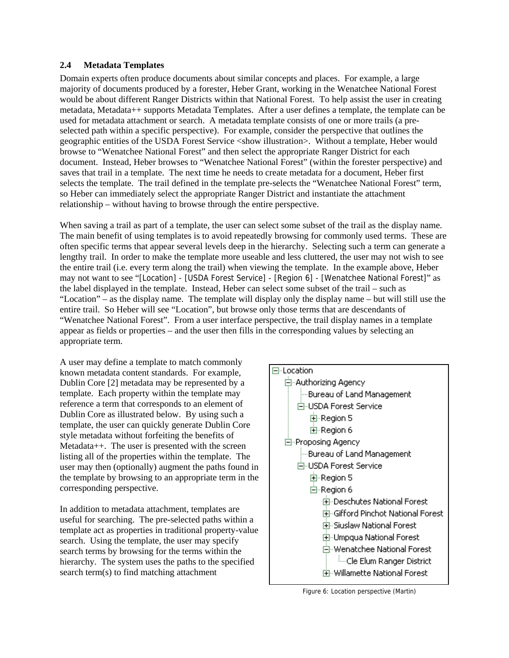#### **2.4 Metadata Templates**

Domain experts often produce documents about similar concepts and places. For example, a large majority of documents produced by a forester, Heber Grant, working in the Wenatchee National Forest would be about different Ranger Districts within that National Forest. To help assist the user in creating metadata, Metadata++ supports Metadata Templates. After a user defines a template, the template can be used for metadata attachment or search. A metadata template consists of one or more trails (a preselected path within a specific perspective). For example, consider the perspective that outlines the geographic entities of the USDA Forest Service <show illustration>. Without a template, Heber would browse to "Wenatchee National Forest" and then select the appropriate Ranger District for each document. Instead, Heber browses to "Wenatchee National Forest" (within the forester perspective) and saves that trail in a template. The next time he needs to create metadata for a document, Heber first selects the template. The trail defined in the template pre-selects the "Wenatchee National Forest" term, so Heber can immediately select the appropriate Ranger District and instantiate the attachment relationship – without having to browse through the entire perspective.

When saving a trail as part of a template, the user can select some subset of the trail as the display name. The main benefit of using templates is to avoid repeatedly browsing for commonly used terms. These are often specific terms that appear several levels deep in the hierarchy. Selecting such a term can generate a lengthy trail. In order to make the template more useable and less cluttered, the user may not wish to see the entire trail (i.e. every term along the trail) when viewing the template. In the example above, Heber may not want to see "[Location] - [USDA Forest Service] - [Region 6] - [Wenatchee National Forest]" as the label displayed in the template. Instead, Heber can select some subset of the trail – such as "Location" – as the display name. The template will display only the display name – but will still use the entire trail. So Heber will see "Location", but browse only those terms that are descendants of "Wenatchee National Forest". From a user interface perspective, the trail display names in a template appear as fields or properties – and the user then fills in the corresponding values by selecting an appropriate term.

A user may define a template to match commonly known metadata content standards. For example, Dublin Core [2] metadata may be represented by a template. Each property within the template may reference a term that corresponds to an element of Dublin Core as illustrated below. By using such a template, the user can quickly generate Dublin Core style metadata without forfeiting the benefits of Metadata++. The user is presented with the screen listing all of the properties within the template. The user may then (optionally) augment the paths found in the template by browsing to an appropriate term in the corresponding perspective.

In addition to metadata attachment, templates are useful for searching. The pre-selected paths within a template act as properties in traditional property-value search. Using the template, the user may specify search terms by browsing for the terms within the hierarchy. The system uses the paths to the specified search term(s) to find matching attachment



Figure 6: Location perspective (Martin)